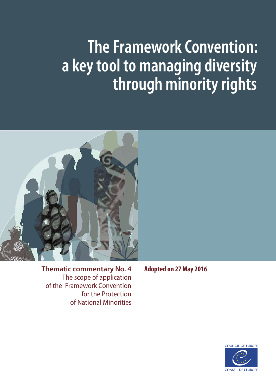# **The Framework Convention: a key tool to managing diversity through minority rights**



**Thematic commentary No. 4**  The scope of application<br>of the Framework Convention for the Protection of National Minorities **Adopted on 27 May 2016**

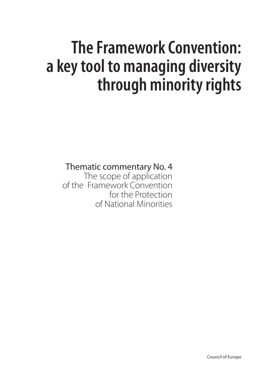# **The Framework Convention: a key tool to managing diversity through minority rights**

Thematic commentary No. 4

The scope of application of the Framework Convention for the Protection of National Minorities

Council of Europe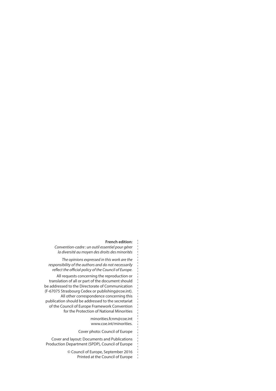#### **French edition:**

*Convention-cadre : un outil essentiel pour gérer la diversité au moyen des droits des minorités*

*The opinions expressed in this work are the responsibility of the authors and do not necessarily reflect the official policy of the Council of Europe.* 

All requests concerning the reproduction or translation of all or part of the document should be addressed to the Directorate of Communication (F-67075 Strasbourg Cedex or publishing@coe.int). All other correspondence concerning this publication should be addressed to the secretariat of the Council of Europe Framework Convention for the Protection of National Minorities

> minorities.fcnm@coe.int www.coe.int/minorities.

Cover photo: Council of Europe

Cover and layout: Documents and Publications Production Department (SPDP), Council of Europe

> © Council of Europe, September 2016 Printed at the Council of Europe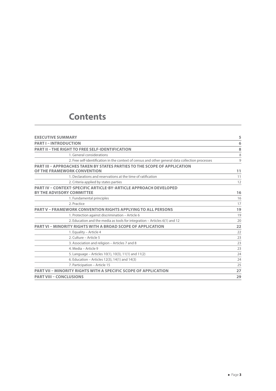### **Contents**

| <b>EXECUTIVE SUMMARY</b>                                                                                        | 5  |
|-----------------------------------------------------------------------------------------------------------------|----|
| <b>PART I - INTRODUCTION</b>                                                                                    | 6  |
| <b>PART II - THE RIGHT TO FREE SELF-IDENTIFICATION</b>                                                          | 8  |
| 1. General considerations                                                                                       | 8  |
| 2. Free self-identification in the context of census and other general data collection processes                | 9  |
| <b>PART III - APPROACHES TAKEN BY STATES PARTIES TO THE SCOPE OF APPLICATION</b><br>OF THE FRAMEWORK CONVENTION | 11 |
| 1. Declarations and reservations at the time of ratification                                                    | 11 |
| 2. Criteria applied by states parties                                                                           | 12 |
| <b>PART IV - CONTEXT-SPECIFIC ARTICLE-BY-ARTICLE APPROACH DEVELOPED</b>                                         |    |
| <b>BY THE ADVISORY COMMITTEE</b>                                                                                | 16 |
| 1. Fundamental principles                                                                                       | 16 |
| 2. Practice                                                                                                     | 17 |
| <b>PART V - FRAMEWORK CONVENTION RIGHTS APPLYING TO ALL PERSONS</b>                                             | 19 |
| 1. Protection against discrimination - Article 6                                                                | 19 |
| 2. Education and the media as tools for integration - Articles 6(1) and 12                                      | 20 |
| <b>PART VI - MINORITY RIGHTS WITH A BROAD SCOPE OF APPLICATION</b>                                              | 22 |
| 1. Equality - Article 4                                                                                         | 22 |
| 2. Culture – Article 5                                                                                          | 23 |
| 3. Association and religion - Articles 7 and 8                                                                  | 23 |
| 4. Media – Article 9                                                                                            | 23 |
| 5. Language – Articles 10(1), 10(3), 11(1) and 11(2)                                                            | 24 |
| 6. Education – Articles 12(3), 14(1) and 14(3)                                                                  | 24 |
| 7. Participation - Article 15                                                                                   | 25 |
| <b>PART VII - MINORITY RIGHTS WITH A SPECIFIC SCOPE OF APPLICATION</b>                                          | 27 |
| <b>PART VIII - CONCLUSIONS</b>                                                                                  | 29 |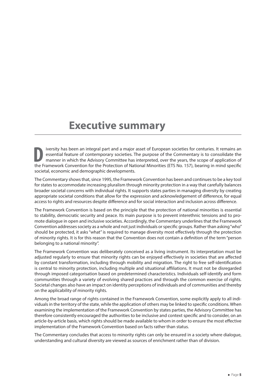### <span id="page-5-0"></span>**Executive summary**

**DEN EXECUTE FRAMEW IN THE FRAMEW CONVERTS IN THE PROPERTY SOCIETS ARE SERVITED FOR THE PROPERTY IS TO CONSOLIDATE THE PROPERTY OF THE PROPERTY OF THE PROPERTY OF THE PROPERTY OF THE PROPERTY OF THE PROPERTY OF THE PROPERT** iversity has been an integral part and a major asset of European societies for centuries. It remains an essential feature of contemporary societies. The purpose of the Commentary is to consolidate the manner in which the Advisory Committee has interpreted, over the years, the scope of application of societal, economic and demographic developments.

The Commentary shows that, since 1995, the Framework Convention has been and continues to be a key tool for states to accommodate increasing pluralism through minority protection in a way that carefully balances broader societal concerns with individual rights. It supports states parties in managing diversity by creating appropriate societal conditions that allow for the expression and acknowledgement of difference, for equal access to rights and resources despite difference and for social interaction and inclusion across difference.

The Framework Convention is based on the principle that the protection of national minorities is essential to stability, democratic security and peace. Its main purpose is to prevent interethnic tensions and to promote dialogue in open and inclusive societies. Accordingly, the Commentary underlines that the Framework Convention addresses society as a whole and not just individuals or specific groups. Rather than asking "who" should be protected, it asks "what" is required to manage diversity most effectively through the protection of minority rights. It is for this reason that the Convention does not contain a definition of the term "person belonging to a national minority".

The Framework Convention was deliberately conceived as a living instrument. Its interpretation must be adjusted regularly to ensure that minority rights can be enjoyed effectively in societies that are affected by constant transformation, including through mobility and migration. The right to free self-identification is central to minority protection, including multiple and situational affiliations. It must not be disregarded through imposed categorisation based on predetermined characteristics. Individuals self-identify and form communities through a variety of evolving shared practices and through the common exercise of rights. Societal changes also have an impact on identity perceptions of individuals and of communities and thereby on the applicability of minority rights.

Among the broad range of rights contained in the Framework Convention, some explicitly apply to all individuals in the territory of the state, while the application of others may be linked to specific conditions. When examining the implementation of the Framework Convention by states parties, the Advisory Committee has therefore consistently encouraged the authorities to be inclusive and context specific and to consider, on an article-by-article basis, which rights should be made available to whom in order to ensure the most effective implementation of the Framework Convention based on facts rather than status.

The Commentary concludes that access to minority rights can only be ensured in a society where dialogue, understanding and cultural diversity are viewed as sources of enrichment rather than of division.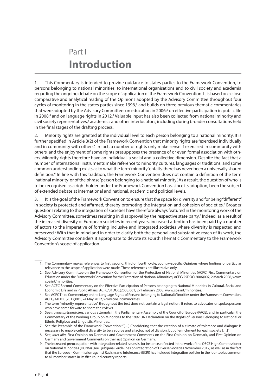### <span id="page-6-0"></span>Part I **Introduction**

1. This Commentary is intended to provide guidance to states parties to the Framework Convention, to persons belonging to national minorities, to international organisations and to civil society and academia regarding the ongoing debate on the scope of application of the Framework Convention. It is based on a close comparative and analytical reading of the Opinions adopted by the Advisory Committee throughout four cycles of monitoring in the states parties since 1998,<sup>1</sup> and builds on three previous thematic commentaries that were adopted by the Advisory Committee: on education in 2006; $^2$  on effective participation in public life in 2008;<sup>3</sup> and on language rights in 2012.<sup>4</sup> Valuable input has also been collected from national minority and civil society representatives,<sup>5</sup> academics and other interlocutors, including during broader consultations held in the final stages of the drafting process.

2. Minority rights are granted at the individual level to each person belonging to a national minority. It is further specified in Article 3(2) of the Framework Convention that minority rights are "exercised individually and in community with others". In fact, a number of rights only make sense if exercised in community with others, and the enjoyment of some rights presupposes the presence of or even formal association with others. Minority rights therefore have an individual, a social and a collective dimension. Despite the fact that a number of international instruments make reference to minority cultures, languages or traditions, and some common understanding exists as to what the term 'minority' entails, there has never been a universally shared definition.<sup>6</sup> In line with this tradition, the Framework Convention does not contain a definition of the term 'national minority' or of the phrase 'person belonging to a national minority'. As a result, the question of who is to be recognised as a right holder under the Framework Convention has, since its adoption, been the subject of extended debate at international and national, academic and political levels.

3. It is the goal of the Framework Convention to ensure that the space for diversity and for being "different" in society is protected and affirmed, thereby promoting the integration and cohesion of societies.<sup>7</sup> Broader questions relating to the integration of societies have therefore always featured in the monitoring work of the Advisory Committee, sometimes resulting in disapproval by the respective state party.<sup>8</sup> Indeed, as a result of the increased diversity of European societies in recent years, increased attention has been paid by a number of actors to the imperative of forming inclusive and integrated societies where diversity is respected and preserved.<sup>9</sup> With that in mind and in order to clarify both the personal and substantive reach of its work, the Advisory Committee considers it appropriate to devote its Fourth Thematic Commentary to the Framework Convention's scope of application.

<sup>1.</sup> The Commentary makes references to first, second, third or fourth cycle, country-specific Opinions where findings of particular relevance to the scope of application were made. These references are illustrative only.

<sup>2.</sup> See Advisory Committee on the Framework Convention for the Protection of National Minorities (ACFC) First Commentary on Education under the Framework Convention for the Protection of National Minorities, ACFC/25DOC(2006)002, 2 March 2006, www. coe.int/minorities.

<sup>3.</sup> See ACFC Second Commentary on the Effective Participation of Persons belonging to National Minorities in Cultural, Social and Economic Life and in Public Affairs, ACFC/31DOC(2008)001, 27 February 2008, www.coe.int/minorities.

<sup>4.</sup> See ACFC Third Commentary on the Language Rights of Persons belonging to National Minorities under the Framework Convention, ACFC/44DOC(2012)001, 24 May 2012, www.coe.int/minorities.

<sup>5.</sup> The term "minority representative" throughout the text does not contain a legal notion; it refers to advocates or spokespersons who have come forward to share their views.

<sup>6.</sup> See *travaux préparatoires*, various attempts in the Parliamentary Assembly of the Council of Europe (PACE), and, in particular, the Commentary of the Working Group on Minorities to the 1992 UN Declaration on the Rights of Persons Belonging to National or Ethnic, Religious and Linguistic Minorities.

<sup>7.</sup> See the Preamble of the Framework Convention: "[…] Considering that the creation of a climate of tolerance and dialogue is necessary to enable cultural diversity to be a source and a factor, not of division, but of enrichment for each society […]".

<sup>8.</sup> See, *inter alia*, First Opinion on Denmark and Government Comments on the First Opinion on Denmark, and First Opinion on Germany and Government Comments on the First Opinion on Germany.

<sup>9.</sup> The increased preoccupation with integration-related issues is, for instance, reflected in the work of the OSCE High Commissioner on National Minorities (HCNM) (see Ljubljana Guidelines on Integration of Diverse Societies November 2012) as well as in the fact that the European Commission against Racism and Intolerance (ECRI) has included integration policies in the four topics common to all member states in its fifth round country reports.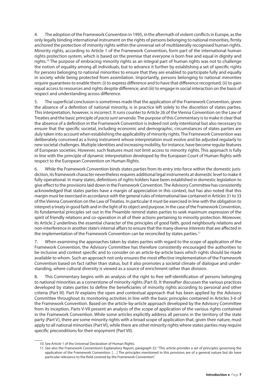4. The adoption of the Framework Convention in 1995, in the aftermath of violent conflicts in Europe, as the only legally binding international instrument on the rights of persons belonging to national minorities, firmly anchored the protection of minority rights within the universal set of multilaterally recognised human rights. Minority rights, according to Article 1 of the Framework Convention, form part of the international human rights protection system, which is based on the premise that everyone is born free and equal in dignity and rights.<sup>10</sup> The purpose of embracing minority rights as an integral part of human rights was not to challenge the notion of equality among all individuals, but to advance it further by establishing a set of specific rights for persons belonging to national minorities to ensure that they are enabled to participate fully and equally in society while being protected from assimilation. Importantly, persons belonging to national minorities require guarantees to enable them: (i) to express difference and to have that difference recognised; (ii) to gain equal access to resources and rights despite difference; and (iii) to engage in social interaction on the basis of respect and understanding across difference.

5. The superficial conclusion is sometimes made that the application of the Framework Convention, given the absence of a definition of national minority, is in practice left solely to the discretion of states parties. This interpretation, however, is incorrect. It runs counter to Article 26 of the Vienna Convention on the Law of Treaties and the basic principle of *pacta sunt servanda.* The purpose of this Commentary is to make it clear that the absence of a definition in the Framework Convention is indeed not only intentional but also necessary to ensure that the specific societal, including economic and demographic, circumstances of states parties are duly taken into account when establishing the applicability of minority rights. The Framework Convention was deliberately conceived as a living instrument whose interpretation must evolve and be adjusted regularly to new societal challenges. Multiple identities and increasing mobility, for instance, have become regular features of European societies. However, such features must not limit access to minority rights. This approach is fully in line with the principle of dynamic interpretation developed by the European Court of Human Rights with respect to the European Convention on Human Rights.

6. While the Framework Convention binds states parties from its entry into force within the domestic jurisdiction, its framework character nevertheless requires additional legal instruments at domestic level to make it fully operational. In many states, definitions of rights holders have been established in domestic legislation to give effect to the provisions laid down in the Framework Convention. The Advisory Committee has consistently acknowledged that states parties have a margin of appreciation in this context, but has also noted that this margin must be exercised in accordance with the general rules of international law contained in Articles 31 to 33 of the Vienna Convention on the Law of Treaties. In particular it must be exercised in line with the obligation to interpret a treaty in good faith and in the light of its object and purpose. In the case of the Framework Convention, its fundamental principles set out in the Preamble remind states parties to seek maximum expression of the spirit of friendly relations and co-operation in all of their actions pertaining to minority protection. Moreover, its Article 2 underlines the essential character of the principles of good faith, good neighbourly relations and non-interference in another state's internal affairs to ensure that the many diverse interests that are affected in the implementation of the Framework Convention can be reconciled by states parties.<sup>11</sup>

7. When examining the approaches taken by states parties with regard to the scope of application of the Framework Convention, the Advisory Committee has therefore consistently encouraged the authorities to be inclusive and context specific and to consider on an article-by-article basis which rights should be made available to whom. Such an approach not only ensures the most effective implementation of the Framework Convention based on fact rather than status, but it also promotes a societal climate of dialogue and understanding, where cultural diversity is viewed as a source of enrichment rather than division.

8. This Commentary begins with an analysis of the right to free self-identification of persons belonging to national minorities as a cornerstone of minority rights (Part II). It thereafter discusses the various practices developed by states parties to define the beneficiaries of minority rights according to personal and other criteria (Part III). Part IV explains the open and contextual approach that has been applied by the Advisory Committee throughout its monitoring activities in line with the basic principles contained in Articles 3-6 of the Framework Convention. Based on the article-by-article approach developed by the Advisory Committee from its inception, Parts V-VII present an analysis of the scope of application of the various rights contained in the Framework Convention. While some articles explicitly address all persons in the territory of the state party (Part V), there are some minority rights with a broad scope of application that, given their nature, must apply to all national minorities (Part VI), while there are other minority rights where states parties may require specific preconditions for their enjoyment (Part VII).

<sup>10.</sup> See Article 1 of the Universal Declaration of Human Rights.

<sup>11.</sup> See also the Framework Convention's Explanatory Report, paragraph 32: "This article provides a set of principles governing the application of the Framework Convention. […] The principles mentioned in this provision are of a general nature but do have particular relevance to the field covered by the Framework Convention".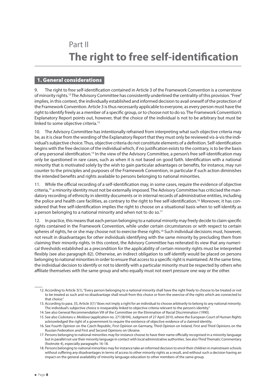### <span id="page-8-0"></span>Part II **The right to free self-identification**

#### 1. General considerations

The right to free self-identification contained in Article 3 of the Framework Convention is a cornerstone of minority rights.<sup>12</sup> The Advisory Committee has consistently underlined the centrality of this provision. "Free" implies, in this context, the individually established and informed decision to avail oneself of the protection of the Framework Convention. Article 3 is thus necessarily applicable to everyone, as every person must have the right to identify freely as a member of a specific group, or to choose not to do so. The Framework Convention's Explanatory Report points out, however, that the choice of the individual is not to be arbitrary but must be linked to some objective criteria.<sup>13</sup>

10. The Advisory Committee has intentionally refrained from interpreting what such objective criteria may be, as it is clear from the wording of the Explanatory Report that they must only be reviewed vis-à-vis the individual's subjective choice. Thus, objective criteria do not constitute elements of a definition. Self-identification begins with the free decision of the individual which, if no justification exists to the contrary, is to be the basis of any personal identification.<sup>14</sup> In the view of the Advisory Committee, a person's free self-identification may only be questioned in rare cases, such as when it is not based on good faith. Identification with a national minority that is motivated solely by the wish to gain particular advantages or benefits, for instance, may run counter to the principles and purposes of the Framework Convention, in particular if such action diminishes the intended benefits and rights available to persons belonging to national minorities.

11. While the official recording of a self-identification may, in some cases, require the evidence of objective criteria,15 a minority identity must not be externally imposed. The Advisory Committee has criticised the mandatory recording of ethnicity in identity documents or in internal records of administrative entities, including the police and health care facilities, as contrary to the right to free self-identification.16 Moreover, it has considered that free self-identification implies the right to choose on a situational basis when to self-identify as a person belonging to a national minority and when not to do so.<sup>17</sup>

12. In practice, this means that each person belonging to a national minority may freely decide to claim specific rights contained in the Framework Convention, while under certain circumstances or with respect to certain spheres of rights, he or she may choose not to exercise these rights.<sup>18</sup> Such individual decisions must, however, not result in disadvantages for other individuals identifying with the same minority by precluding them from claiming their minority rights. In this context, the Advisory Committee has reiterated its view that any numerical thresholds established as a precondition for the applicability of certain minority rights must be interpreted flexibly (see also paragraph 82). Otherwise, an indirect obligation to self-identify would be placed on persons belonging to national minorities in order to ensure that access to a specific right is maintained. At the same time, the individual decision to identify or not to identify with a particular minority must be respected by others who affiliate themselves with the same group and who equally must not exert pressure one way or the other.

12. According to Article 3(1), "Every person belonging to a national minority shall have the right freely to choose to be treated or not to be treated as such and no disadvantage shall result from this choice or from the exercise of the rights which are connected to that choice."

<sup>13.</sup> According to para. 35, Article 3(1) "does not imply a right for an individual to choose arbitrarily to belong to any national minority. The individual's subjective choice is inseparably linked to objective criteria relevant to the person's identity."

<sup>14.</sup> See also General Recommendation VIII of the Committee on the Elimination of Racial Discrimination (1990).

<sup>15.</sup> See also *Ciubotaru v. Moldova* (application no. 27138/04), Judgment of 27 April 2010, where the European Court of Human Rights acknowledged the right of a government to require the existence of objective evidence of a claimed identity.

<sup>16.</sup> See Fourth Opinion on the Czech Republic, First Opinion on Germany, Third Opinion on Ireland, First and Third Opinions on the Russian Federation and First and Second Opinions on Ukraine.

<sup>17.</sup> Persons belonging to national minorities may for instance choose to have their name officially recognised in a minority language but in parallel not use their minority language in contact with local administrative authorities. See also Third Thematic Commentary (footnote 4), especially paragraphs 16-18.

<sup>18.</sup> Persons belonging to national minorities may for instance take an informed decision to enrol their children in mainstream schools without suffering any disadvantages in terms of access to other minority rights as a result, and without such a decision having an impact on the general availability of minority language education to other members of the same group.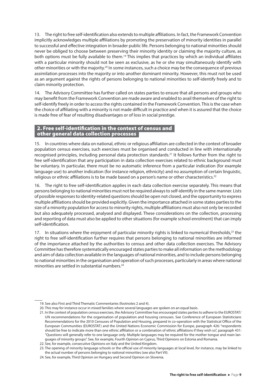<span id="page-9-0"></span>13. The right to free self-identification also extends to multiple affiliations. In fact, the Framework Convention implicitly acknowledges multiple affiliations by promoting the preservation of minority identities in parallel to successful and effective integration in broader public life. Persons belonging to national minorities should never be obliged to choose between preserving their minority identity or claiming the majority culture, as both options must be fully available to them.<sup>19</sup> This implies that practices by which an individual affiliates with a particular minority should not be seen as exclusive, as he or she may simultaneously identify with other minorities or with the majority.<sup>20</sup> In some instances, such a choice may be the consequence of previous assimilation processes into the majority or into another dominant minority. However, this must not be used as an argument against the rights of persons belonging to national minorities to self-identify freely and to claim minority protection.

14. The Advisory Committee has further called on states parties to ensure that all persons and groups who may benefit from the Framework Convention are made aware and enabled to avail themselves of the right to self-identify freely in order to access the rights contained in the Framework Convention. This is the case when the choice of affiliating with a minority is not made difficult in practice and when it is assured that the choice is made free of fear of resulting disadvantages or of loss in social prestige.

#### 2. Free self-identification in the context of census and other general data collection processes

15. In countries where data on national, ethnic or religious affiliation are collected in the context of broader population census exercises, such exercises must be organised and conducted in line with internationally recognised principles, including personal data protection standards.21 It follows further from the right to free self-identification that any participation in data collection exercises related to ethnic background must be voluntary. In particular, there must be no automatic inference from a particular indication (for example language use) to another indication (for instance religion, ethnicity) and no assumption of certain linguistic, religious or ethnic affiliations is to be made based on a person's name or other characteristics.<sup>22</sup>

16. The right to free self-identification applies in each data collection exercise separately. This means that persons belonging to national minorities must not be required always to self-identify in the same manner. Lists of possible responses to identity-related questions should be open not closed, and the opportunity to express multiple affiliations should be provided explicitly. Given the importance attached in some states parties to the size of a minority population for access to minority rights, multiple affiliations must also not only be recorded but also adequately processed, analysed and displayed. These considerations on the collection, processing and reporting of data must also be applied to other situations (for example school enrolment) that can imply self-identification.

17. In situations where the enjoyment of particular minority rights is linked to numerical thresholds,<sup>23</sup> the right to free self-identification further requires that persons belonging to national minorities are informed of the importance attached by the authorities to census and other data collection exercises. The Advisory Committee has therefore systematically encouraged states parties to make all information on the methodology and aim of data collection available in the languages of national minorities, and to include persons belonging to national minorities in the organisation and operation of such processes, particularly in areas where national minorities are settled in substantial numbers.<sup>24</sup>

<sup>19.</sup> See also First and Third Thematic Commentaries (footnotes 2 and 4).

<sup>20.</sup> This may for instance occur in mixed families where several languages are spoken on an equal basis.

<sup>21.</sup> In the context of population census exercises, the Advisory Committee has encouraged states parties to adhere to the EUROSTAT/ UN recommendations for the organisation of population and housing censuses. See Conference of European Statisticians Recommendations for the 2010 Censuses of Population and Housing, prepared in co-operation with the Statistical Office of the European Communities (EUROSTAT) and the United Nations Economic Commission for Europe, paragraph 426: "respondents should be free to indicate more than one ethnic affiliation or a combination of ethnic affiliations if they wish so", paragraph 431: "Questions will generally refer to one language only. Multiple languages may be required for the mother tongue and main languages of minority groups". See, for example, Fourth Opinion on Cyprus, Third Opinions on Estonia and Romania.

<sup>22.</sup> See, for example, consecutive Opinions on Italy and the United Kingdom.

<sup>23.</sup> The opening of minority language schools or the official use of minority languages at local level, for instance, may be linked to the actual number of persons belonging to national minorities (see also Part VII).

<sup>24.</sup> See, for example, Third Opinion on Hungary and Second Opinion on Slovenia.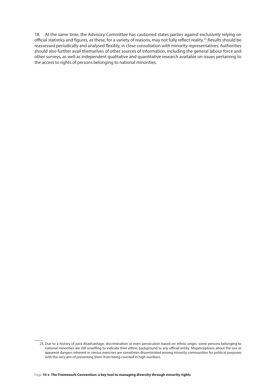18. At the same time, the Advisory Committee has cautioned states parties against exclusively relying on official statistics and figures, as these, for a variety of reasons, may not fully reflect reality.<sup>25</sup> Results should be reassessed periodically and analysed flexibly, in close consultation with minority representatives. Authorities should also further avail themselves of other sources of information, including the general labour force and other surveys, as well as independent qualitative and quantitative research available on issues pertaining to the access to rights of persons belonging to national minorities.

<sup>25.</sup> Due to a history of past disadvantage, discrimination or even persecution based on ethnic origin, some persons belonging to national minorities are still unwilling to indicate their ethnic background to any official entity. Misperceptions about the use or apparent dangers inherent in census exercises are sometimes disseminated among minority communities for political purposes with the very aim of preventing them from being counted in high numbers.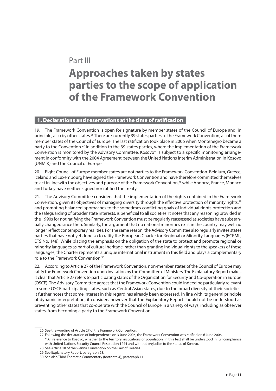## <span id="page-11-0"></span>Part III **Approaches taken by states parties to the scope of application of the Framework Convention**

#### 1. Declarations and reservations at the time of ratification

19. The Framework Convention is open for signature by member states of the Council of Europe and, in principle, also by other states.<sup>26</sup> There are currently 39 states parties to the Framework Convention, all of them member states of the Council of Europe. The last ratification took place in 2006 when Montenegro became a party to the Convention.<sup>27</sup> In addition to the 39 states parties, where the implementation of the Framework Convention is monitored by the Advisory Committee, Kosovo\* is subject to a specific monitoring arrangement in conformity with the 2004 Agreement between the United Nations Interim Administration in Kosovo (UNMIK) and the Council of Europe.

20. Eight Council of Europe member states are not parties to the Framework Convention. Belgium, Greece, Iceland and Luxembourg have signed the Framework Convention and have therefore committed themselves to act in line with the objectives and purpose of the Framework Convention,<sup>28</sup> while Andorra, France, Monaco and Turkey have neither signed nor ratified the treaty.

21. The Advisory Committee considers that the implementation of the rights contained in the Framework Convention, given its objectives of managing diversity through the effective protection of minority rights,<sup>29</sup> and promoting balanced approaches to the sometimes conflicting goals of individual rights protection and the safeguarding of broader state interests, is beneficial to all societies. It notes that any reasoning provided in the 1990s for not ratifying the Framework Convention must be regularly reassessed as societies have substantially changed since then. Similarly, the argument that no national minorities exist in the country may well no longer reflect contemporary realities. For the same reason, the Advisory Committee also regularly invites states parties that have not yet done so to ratify the European Charter for Regional or Minority Languages (ECRML, ETS No. 148). While placing the emphasis on the obligation of the state to protect and promote regional or minority languages as part of cultural heritage, rather than granting individual rights to the speakers of these languages, the Charter represents a unique international instrument in this field and plays a complementary role to the Framework Convention.<sup>30</sup>

22. According to Article 27 of the Framework Convention, non-member states of the Council of Europe may ratify the Framework Convention upon invitation by the Committee of Ministers. The Explanatory Report makes it clear that Article 27 refers to participating states of the Organization for Security and Co-operation in Europe (OSCE). The Advisory Committee agrees that the Framework Convention could indeed be particularly relevant in some OSCE participating states, such as Central Asian states, due to the broad diversity of their societies. It further notes that some interest in this regard has already been expressed. In line with its general principle of dynamic interpretation, it considers however that the Explanatory Report should not be understood as preventing other states that co-operate with the Council of Europe in a variety of ways, including as observer states, from becoming a party to the Framework Convention.

<sup>26.</sup> See the wording of Article 27 of the Framework Convention.

<sup>27.</sup> Following the declaration of independence on 3 June 2006, the Framework Convention was ratified on 6 June 2006.

<sup>\*</sup> All reference to Kosovo, whether to the territory, institutions or population, in this text shall be understood in full compliance with United Nations Security Council Resolution 1244 and without prejudice to the status of Kosovo.

<sup>28.</sup> See Article 18 of the Vienna Convention on the Law of Treaties.

<sup>29.</sup> See Explanatory Report, paragraph 28.

<sup>30.</sup> See also Third Thematic Commentary (footnote 4), paragraph 11.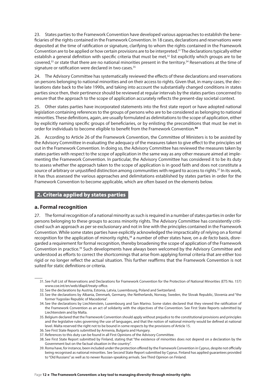<span id="page-12-0"></span>23. States parties to the Framework Convention have developed various approaches to establish the beneficiaries of the rights contained in the Framework Convention. In 18 cases, declarations and reservations were deposited at the time of ratification or signature, clarifying to whom the rights contained in the Framework Convention are to be applied or how certain provisions are to be interpreted.<sup>31</sup> The declarations typically either establish a general definition with specific criteria that must be met,<sup>32</sup> list explicitly which groups are to be covered,<sup>33</sup> or state that there are no national minorities present in the territory.<sup>34</sup> Reservations at the time of signature or ratification were declared in two cases.<sup>35</sup>

24. The Advisory Committee has systematically reviewed the effects of these declarations and reservations on persons belonging to national minorities and on their access to rights. Given that, in many cases, the declarations date back to the late 1990s, and taking into account the substantially changed conditions in states parties since then, their pertinence should be reviewed at regular intervals by the states parties concerned to ensure that the approach to the scope of application accurately reflects the present-day societal context.

25. Other states parties have incorporated statements into the first state report or have adopted national legislation containing references to the groups of persons who are to be considered as belonging to national minorities. These definitions, again, are usually formulated as delimitations to the scope of application, either by explicitly naming specific groups of beneficiaries, or by enlisting the preconditions that must be met in order for individuals to become eligible to benefit from the Framework Convention.<sup>36</sup>

26. According to Article 26 of the Framework Convention, the Committee of Ministers is to be assisted by the Advisory Committee in evaluating the adequacy of the measures taken to give effect to the principles set out in the Framework Convention. In doing so, the Advisory Committee has reviewed the measures taken by states parties with respect to the scope of application in the same way as any other measure aimed at implementing the Framework Convention. In particular, the Advisory Committee has considered it to be its duty to assess whether the approach taken to the scope of application is in good faith and does not constitute a source of arbitrary or unjustified distinction among communities with regard to access to rights.<sup>37</sup> In its work, it has thus assessed the various approaches and delimitations established by states parties in order for the Framework Convention to become applicable, which are often based on the elements below.

#### 2. Criteria applied by states parties

#### **a. Formal recognition**

27. The formal recognition of a national minority as such is required in a number of states parties in order for persons belonging to these groups to access minority rights. The Advisory Committee has consistently criticised such an approach as per se exclusionary and not in line with the principles contained in the Framework Convention. While some states parties have explicitly acknowledged the impracticality of relying on a formal recognition for the application of minority rights,<sup>38</sup> a number of other states have, on a *de facto* basis, disregarded a requirement for formal recognition, thereby broadening the scope of application of the Framework Convention in practice.<sup>39</sup> Such developments have always been welcomed by the Advisory Committee and understood as efforts to correct the shortcomings that arise from applying formal criteria that are either too rigid or no longer reflect the actual situation. This further reaffirms that the Framework Convention is not suited for static definitions or criteria.

<sup>31.</sup> See Full List of Reservations and Declarations for Framework Convention for the Protection of National Minorities (ETS No. 157) www.coe.int/en/web/dlapil/treaty-office.

<sup>32.</sup> See the declarations by Austria, Estonia, Latvia, Luxembourg, Poland and Switzerland.

<sup>33.</sup> See the declarations by Albania, Denmark, Germany, the Netherlands, Norway, Sweden, the Slovak Republic, Slovenia and "the former Yugoslav Republic of Macedonia".

<sup>34.</sup> See the declarations by Liechtenstein, Luxembourg and San Marino. Some states declared that they viewed the ratification of the Framework Convention as an act of solidarity with the objectives of the Convention. See First State Reports submitted by Liechtenstein and by Malta.

<sup>35.</sup> Belgium declared that the Framework Convention should apply without prejudice to the constitutional provisions and principles and the legislative rules governing the use of languages, and that the notion of national minority would be defined at national level. Malta reserved the right not to be bound in some respects by the provisions of Article 15.

<sup>36.</sup> See First State Reports submitted by Armenia, Bulgaria and Hungary.

<sup>37.</sup> References to this duty can be found in all First Opinions of the Advisory Committee.

<sup>38.</sup> See First State Report submitted by Finland, stating that "the existence of minorities does not depend on a declaration by the Government but on the factual situation in the country".

<sup>39.</sup> Roma have, for instance, been included under the protection offered by the Framework Convention in Cyprus, despite not officially being recognised as national minorities. See Second State Report submitted by Cyprus. Finland has applied guarantees provided to "Old Russians" as well as to newer Russian-speaking arrivals. See Third Opinion on Finland.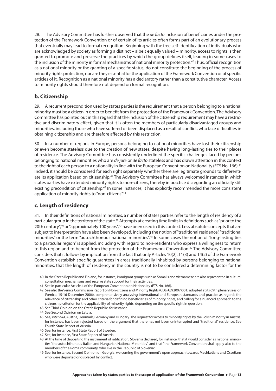28. The Advisory Committee has further observed that the *de facto* inclusion of beneficiaries under the protection of the Framework Convention or of certain of its articles often forms part of an evolutionary process that eventually may lead to formal recognition. Beginning with the free self-identification of individuals who are acknowledged by society as forming a distinct – albeit equally valued – minority, access to rights is then granted to promote and preserve the practices by which the group defines itself, leading in some cases to the inclusion of the minority in formal mechanisms of national minority protection.<sup>40</sup> Thus, official recognition as a national minority or the granting of a specific status, do not constitute the beginning of the process of minority rights protection, nor are they essential for the application of the Framework Convention or of specific articles of it. Recognition as a national minority has a declaratory rather than a constitutive character. Access to minority rights should therefore not depend on formal recognition.

#### **b. Citizenship**

29. A recurrent precondition used by states parties is the requirement that a person belonging to a national minority must be a citizen in order to benefit from the protection of the Framework Convention. The Advisory Committee has pointed out in this regard that the inclusion of the citizenship requirement may have a restrictive and discriminatory effect, given that it is often the members of particularly disadvantaged groups and minorities, including those who have suffered or been displaced as a result of conflict, who face difficulties in obtaining citizenship and are therefore affected by this restriction.

30. In a number of regions in Europe, persons belonging to national minorities have lost their citizenship or even become stateless due to the creation of new states, despite having long-lasting ties to their places of residence. The Advisory Committee has consistently underlined the specific challenges faced by persons belonging to national minorities who are *de jure* or *de facto* stateless and has drawn attention in this context to the right of each person to a nationality in line with the European Convention on Nationality (ETS No. 166).<sup>41</sup> Indeed, it should be considered for each right separately whether there are legitimate grounds to differentiate its application based on citizenship.<sup>42</sup> The Advisory Committee has always welcomed instances in which states parties have extended minority rights to non-citizens, thereby in practice disregarding an officially still existing precondition of citizenship.<sup>43</sup> In some instances, it has explicitly recommended the more consistent application of minority rights to "non-citizens".<sup>44</sup>

#### **c. Length of residency**

31. In their definitions of national minorities, a number of states parties refer to the length of residency of a particular group in the territory of the state.<sup>45</sup> Attempts at creating time limits in definitions such as "prior to the 20th century",<sup>46</sup> or "approximately 100 years",<sup>47</sup> have been used in this context. Less absolute concepts that are subject to interpretation have also been developed, including the notion of "traditional residence", "traditional minorities" or the term "autochthonous national minorities".<sup>48</sup> In some cases the notion of "long-lasting ties to a particular region" is applied, including with regard to non-residents who express a willingness to return to this region and to benefit from the protection of the Framework Convention.<sup>49</sup> The Advisory Committee considers that it follows by implication from the fact that only Articles 10(2), 11(3) and 14(2) of the Framework Convention establish specific guarantees in areas traditionally inhabited by persons belonging to national minorities, that the length of residency in the country is not to be considered a determining factor for the

<sup>40.</sup> In the Czech Republic and Finland, for instance, immigrant groups such as Somalis and Vietnamese are also represented in cultural consultation mechanisms and receive state support for their activities.

<sup>41.</sup> See in particular Article 4 of the European Convention on Nationality (ETS No. 166).

<sup>42.</sup> See also the Venice Commission Report on Non-citizens and Minority Rights (CDL-AD(2007)001) adopted at its 69th plenary session (Venice, 15-16 December 2006), comprehensively analysing international and European standards and practice as regards the relevance of citizenship and other criteria for defining beneficiaries of minority rights, and calling for a nuanced approach to the citizenship criterion for the applicability of minority rights, depending on the specific right in question.

<sup>43.</sup> See Third Opinion on the Czech Republic, for instance.

<sup>44.</sup> See Second Opinion on Latvia.

<sup>45.</sup> See, *inter alia*, Austria, Denmark, Germany and Hungary. The request for access to minority rights by the Polish minority in Austria, for instance, has been rejected based on the argument that there has not been uninterrupted and "traditional" residence. See Fourth State Report of Austria.

<sup>46.</sup> See, for instance, First State Report of Sweden.

<sup>47.</sup> See, for instance, First State Report of Austria.

<sup>48.</sup> At the time of depositing the instrument of ratification, Slovenia declared, for instance, that it would consider as national minorities "the autochthonous Italian and Hungarian National Minorities", and that "the Framework Convention shall apply also to the members of the Roma community, who live in the Republic of Slovenia."

<sup>49.</sup> See, for instance, Second Opinion on Georgia, welcoming the government's open approach towards Meshketians and Ossetians who were deported or displaced by conflict.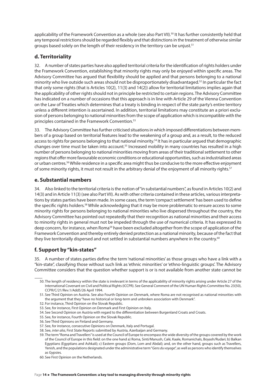applicability of the Framework Convention as a whole (see also Part VII).<sup>50</sup> It has further consistently held that any temporal restrictions should be regarded flexibly and that distinctions in the treatment of otherwise similar groups based solely on the length of their residency in the territory can be unjust.<sup>51</sup>

#### **d. Territoriality**

32. A number of states parties have also applied territorial criteria for the identification of rights holders under the Framework Convention, establishing that minority rights may only be enjoyed within specific areas. The Advisory Committee has argued that flexibility should be applied and that persons belonging to a national minority who live outside such areas should not be disproportionately disadvantaged.<sup>52</sup> In particular the fact that only some rights (that is Articles 10(2), 11(3) and 14(2)) allow for territorial limitations implies again that the applicability of other rights should not in principle be restricted to certain regions. The Advisory Committee has indicated on a number of occasions that this approach is in line with Article 29 of the Vienna Convention on the Law of Treaties which determines that a treaty is binding in respect of the state party's entire territory unless a different intention is ascertained. In addition, territorial limitations may constitute an a priori exclusion of persons belonging to national minorities from the scope of application which is incompatible with the principles contained in the Framework Convention.<sup>53</sup>

33. The Advisory Committee has further criticised situations in which imposed differentiations between members of a group based on territorial features lead to the weakening of a group and, as a result, to the reduced access to rights for persons belonging to that national minority.<sup>54</sup> It has in particular argued that demographic changes over time must be taken into account.<sup>55</sup> Increased mobility in many countries has resulted in a high number of persons belonging to national minorities moving from areas of their traditional settlement to other regions that offer more favourable economic conditions or educational opportunities, such as industrialised areas or urban centres.<sup>56</sup> While residence in a specific area might thus be conducive to the more effective enjoyment of some minority rights, it must not result in the arbitrary denial of the enjoyment of all minority rights.<sup>57</sup>

#### **e. Substantial numbers**

34. Also linked to the territorial criteria is the notion of "in substantial numbers", as found in Articles 10(2) and 14(3) and in Article 11(3) (see also Part VII). As with other criteria contained in these articles, various interpretations by states parties have been made. In some cases, the term 'compact settlement' has been used to define the specific rights holders.<sup>58</sup> While acknowledging that it may be more problematic to ensure access to some minority rights for persons belonging to national minorities who live dispersed throughout the country, the Advisory Committee has pointed out repeatedly that their recognition as national minorities and their access to minority rights in general must not be impeded through the use of numerical criteria. It has expressed its deep concern, for instance, when Roma<sup>59</sup> have been excluded altogether from the scope of application of the Framework Convention and thereby entirely denied protection as a national minority, because of the fact that they live territorially dispersed and not settled in substantial numbers anywhere in the country.<sup>60</sup>

#### **f. Support by "kin-states"**

35. A number of states parties define the term 'national minorities' as those groups who have a link with a "kin-state", classifying those without such link as 'ethnic minorities' or 'ethno-linguistic groups'. The Advisory Committee considers that the question whether support is or is not available from another state cannot be

50. The length of residency within the state is irrelevant in terms of the applicability of minority rights arising under Article 27 of the International Covenant on Civil and Political Rights (ICCPR). See General Comment of the UN Human Rights Committee No. 23(50), CCPR/C/21/Rev.1/Add5/26 April 1994.

51. See Third Opinion on Austria. See also Fourth Opinion on Denmark, where Roma are not recognised as national minorities with the argument that they "have no historical or long-term and unbroken association with Denmark".

- 52. For instance, Third Opinion on the Slovak Republic.
- 53. See, for instance, First Opinion on Denmark and First Opinion on Italy.
- 54. See Second Opinion on Austria with regard to the differentiation between Burgenland Croats and Croats.
- 55. See, for instance, Fourth Opinion on the Slovak Republic.
- 56. See Third Opinions on Finland and Germany.
- 57. See, for instance, consecutive Opinions on Denmark, Italy and Portugal.
- 58. See, *inter alia*, First State Reports submitted by Austria, Azerbaijan and Germany.
- 59. The term "Roma and Travellers" is used at the Council of Europe to encompass the wide diversity of the groups covered by the work of the Council of Europe in this field: on the one hand a) Roma, Sinti/Manush, Calé, Kaale, Romanichals, Boyash/Rudari; b) Balkan Egyptians (Egyptians and Ashkali); c) Eastern groups (Dom, Lom and Abdal); and, on the other hand, groups such as Travellers, Yenish, and the populations designated under the administrative term "*Gens du voyage*", as well as persons who identify themselves as Gypsies.
- 60. See First Opinion on the Netherlands.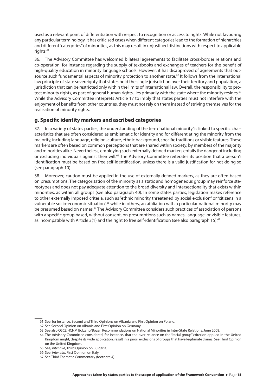used as a relevant point of differentiation with respect to recognition or access to rights. While not favouring any particular terminology, it has criticised cases when different categories lead to the formation of hierarchies and different "categories" of minorities, as this may result in unjustified distinctions with respect to applicable rights.<sup>61</sup>

36. The Advisory Committee has welcomed bilateral agreements to facilitate cross-border relations and co-operation, for instance regarding the supply of textbooks and exchanges of teachers for the benefit of high-quality education in minority language schools. However, it has disapproved of agreements that outsource such fundamental aspects of minority protection to another state.<sup>62</sup> It follows from the international law principle of state sovereignty that states hold the single jurisdiction over their territory and population, a jurisdiction that can be restricted only within the limits of international law. Overall, the responsibility to protect minority rights, as part of general human rights, lies primarily with the state where the minority resides.<sup>63</sup> While the Advisory Committee interprets Article 17 to imply that states parties must not interfere with the enjoyment of benefits from other countries, they must not rely on them instead of striving themselves for the realisation of minority rights.

#### **g. Specific identity markers and ascribed categories**

37. In a variety of states parties, the understanding of the term 'national minority' is linked to specific characteristics that are often considered as emblematic for identity and for differentiating the minority from the majority, including language, religion, culture, ethnic background, specific traditions or visible features. These markers are often based on common perceptions that are shared within society, by members of the majority and minorities alike. Nevertheless, employing such externally defined markers entails the danger of including or excluding individuals against their will.<sup>64</sup> The Advisory Committee reiterates its position that a person's identification must be based on free self-identification, unless there is a valid justification for not doing so (see paragraph 10).

38. Moreover, caution must be applied in the use of externally defined markers, as they are often based on presumptions. The categorisation of the minority as a static and homogeneous group may reinforce stereotypes and does not pay adequate attention to the broad diversity and intersectionality that exists within minorities, as within all groups (see also paragraph 40). In some states parties, legislation makes reference to other externally imposed criteria, such as "ethnic minority threatened by social exclusion" or "citizens in a vulnerable socio-economic situation",<sup>65</sup> while in others, an affiliation with a particular national minority may be presumed based on names.<sup>66</sup> The Advisory Committee considers such practices of association of persons with a specific group based, without consent, on presumptions such as names, language, or visible features, as incompatible with Article 3(1) and the right to free self-identification (see also paragraph 15).<sup>67</sup>

<sup>61.</sup> See, for instance, Second and Third Opinions on Albania and First Opinion on Poland.

<sup>62.</sup> See Second Opinion on Albania and First Opinion on Germany.

<sup>63.</sup> See also OSCE HCNM Bolzano/Bozen Recommendations on National Minorities in Inter-State Relations, June 2008.

<sup>64.</sup> The Advisory Committee considered, for instance, that the over-reliance on the "racial group" criterion applied in the United Kingdom might, despite its wide application, result in a priori exclusions of groups that have legitimate claims. See Third Opinion on the United Kingdom.

<sup>65.</sup> See, *inter alia*, Third Opinion on Bulgaria.

<sup>66.</sup> See, *inter alia*, First Opinion on Italy.

<sup>67.</sup> See Third Thematic Commentary (footnote 4).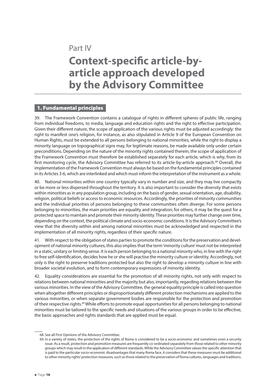## <span id="page-16-0"></span>Part IV **Context-specific article-byarticle approach developed by the Advisory Committee**

#### 1. Fundamental principles

39. The Framework Convention contains a catalogue of rights in different spheres of public life, ranging from individual freedoms, to media, language and education rights and the right to effective participation. Given their different nature, the scope of application of the various rights must be adjusted accordingly: the right to manifest one's religion, for instance, as also stipulated in Article 9 of the European Convention on Human Rights, must be extended to all persons belonging to national minorities, while the right to display a minority language on topographical signs may, for legitimate reasons, be made available only under certain preconditions. Depending on the nature of the minority rights contained therein, the scope of application of the Framework Convention must therefore be established separately for each article, which is why, from its first monitoring cycle, the Advisory Committee has referred to its article-by-article approach.<sup>68</sup> Overall, the implementation of the Framework Convention must always be based on the fundamental principles contained in its Articles 3-6, which are interlinked and which must inform the interpretation of the instrument as a whole.

40. National minorities within one country typically vary in number and size, and they may live compactly or be more or less dispersed throughout the territory. It is also important to consider the diversity that exists within minorities as in any population group, including on the basis of gender, sexual orientation, age, disability, religion, political beliefs or access to economic resources. Accordingly, the priorities of minority communities and the individual priorities of persons belonging to these communities often diverge. For some persons belonging to minorities, the main priorities are equality and integration; for others, it may be the quest for a protected space to maintain and promote their minority identity. These priorities may further change over time, depending on the context, the political climate and socio-economic conditions. It is the Advisory Committee's view that the diversity within and among national minorities must be acknowledged and respected in the implementation of all minority rights, regardless of their specific nature.

41. With respect to the obligation of states parties to promote the conditions for the preservation and development of national minority cultures, this also implies that the term 'minority culture' must not be interpreted in a static, unitary or limiting sense. It is each person belonging to a national minority who, in line with the right to free self-identification, decides how he or she will practise the minority culture or identity. Accordingly, not only is the right to preserve traditions protected but also the right to develop a minority culture in line with broader societal evolution, and to form contemporary expressions of minority identity.

42. Equality considerations are essential for the promotion of all minority rights, not only with respect to relations between national minorities and the majority but also, importantly, regarding relations between the various minorities. In the view of the Advisory Committee, the general equality principle is called into question when altogether different principles or disproportionately different protection mechanisms are applied to the various minorities, or when separate government bodies are responsible for the protection and promotion of their respective rights.<sup>69</sup> While efforts to promote equal opportunities for all persons belonging to national minorities must be tailored to the specific needs and situations of the various groups in order to be effective, the basic approaches and rights standards that are applied must be equal.

<sup>68.</sup> See all First Opinions of the Advisory Committee.

<sup>69.</sup> In a variety of states, the protection of the rights of Roma is considered to be a socio-economic and sometimes even a security issue. As a result, protection and promotion measures are frequently co-ordinated separately from those related to other minority groups which may result in the application of different standards. While the Advisory Committee values the specific attention that is paid to the particular socio-economic disadvantages that many Roma face, it considers that these measures must be additional to other minority rights' protection measures, such as those related to the preservation of Roma cultures, languages and traditions.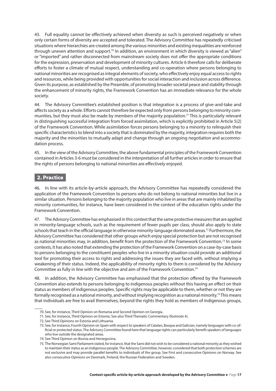<span id="page-17-0"></span>43. Full equality cannot be effectively achieved when diversity as such is perceived negatively or when only certain forms of diversity are accepted and tolerated. The Advisory Committee has repeatedly criticised situations where hierarchies are created among the various minorities and existing inequalities are reinforced through uneven attention and support.<sup>70</sup> In addition, an environment in which diversity is viewed as "alien" or "imported" and rather disconnected from mainstream society does not offer the appropriate conditions for the expression, preservation and development of minority cultures. Article 6 therefore calls for deliberate efforts to foster a climate of mutual respect, understanding and co-operation where persons belonging to national minorities are recognised as integral elements of society, who effectively enjoy equal access to rights and resources, while being provided with opportunities for social interaction and inclusion across difference. Given its purpose, as established by the Preamble, of promoting broader societal peace and stability through the enhancement of minority rights, the Framework Convention has an immediate relevance for the whole society.

44. The Advisory Committee's established position is that integration is a process of give-and-take and affects society as a whole. Efforts cannot therefore be expected only from persons belonging to minority communities, but they must also be made by members of the majority population.<sup>71</sup> This is particularly relevant in distinguishing successful integration from forced assimilation, which is explicitly prohibited in Article 5(2) of the Framework Convention. While assimilation forces persons belonging to a minority to relinquish their specific characteristics to blend into a society that is dominated by the majority, integration requires both the majority and the minorities to mutually adapt and change through an ongoing negotiation and accommodation process.

45. In the view of the Advisory Committee, the above fundamental principles of the Framework Convention contained in Articles 3-6 must be considered in the interpretation of all further articles in order to ensure that the rights of persons belonging to national minorities are effectively enjoyed.

#### 2. Practice

46. In line with its article-by-article approach, the Advisory Committee has repeatedly considered the application of the Framework Convention to persons who do not belong to national minorities but live in a similar situation. Persons belonging to the majority population who live in areas that are mainly inhabited by minority communities, for instance, have been considered in the context of the education rights under the Framework Convention.

47. The Advisory Committee has emphasised in this context that the same protective measures that are applied in minority-language schools, such as the requirement of fewer pupils per class, should also apply to state schools that teach in the official language in otherwise minority-language dominated areas.<sup>72</sup> Furthermore, the Advisory Committee has considered that other groups which enjoy special protection but are not recognised as national minorities may, in addition, benefit from the protection of the Framework Convention.<sup>73</sup> In some contexts, it has also noted that extending the protection of the Framework Convention on a case-by-case basis to persons belonging to the constituent peoples who live in a minority situation could provide an additional tool for promoting their access to rights and addressing the issues they are faced with, without implying a weakening of their status. Indeed, the applicability of minority rights to them is considered by the Advisory Committee as fully in line with the objective and aim of the Framework Convention.<sup>74</sup>

48. In addition, the Advisory Committee has emphasised that the protection offered by the Framework Convention also extends to persons belonging to indigenous peoples without this having an effect on their status as members of indigenous peoples. Specific rights may be applicable to them, whether or not they are formally recognised as a national minority, and without implying recognition as a national minority.<sup>75</sup> This means that individuals are free to avail themselves, beyond the rights they hold as members of indigenous groups,

<sup>70.</sup> See, for instance, Third Opinion on Romania and Second Opinion on Georgia.

<sup>71.</sup> See, for instance, Third Opinion on Estonia. See also Third Thematic Commentary (footnote 4).

<sup>72.</sup> See Third Opinions on Estonia and Lithuania.

<sup>73.</sup> See, for instance, Fourth Opinion on Spain with respect to speakers of Catalan, Basque and Galician, namely languages with co-official or protected status. The Advisory Committee found here that language rights can particularly benefit speakers of languages who live outside the designated areas.

<sup>74.</sup> See Third Opinion on Bosnia and Herzegovina.

<sup>75.</sup> The Norwegian Sami Parliament stated, for instance, that the Sami did not wish to be considered a national minority as they wished to maintain their status as an indigenous people. The Advisory Committee, however, considered that both protection schemes are not exclusive and may provide parallel benefits to individuals of the group. See First and consecutive Opinions on Norway. See also consecutive Opinions on Denmark, Finland, the Russian Federation and Sweden.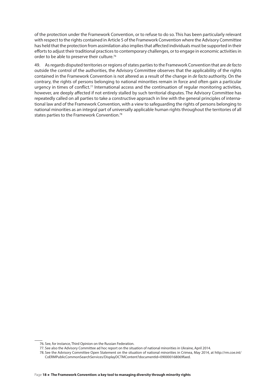of the protection under the Framework Convention, or to refuse to do so. This has been particularly relevant with respect to the rights contained in Article 5 of the Framework Convention where the Advisory Committee has held that the protection from assimilation also implies that affected individuals must be supported in their efforts to adjust their traditional practices to contemporary challenges, or to engage in economic activities in order to be able to preserve their culture.<sup>76</sup>

49. As regards disputed territories or regions of states parties to the Framework Convention that are *de facto*  outside the control of the authorities, the Advisory Committee observes that the applicability of the rights contained in the Framework Convention is not altered as a result of the change in *de facto* authority. On the contrary, the rights of persons belonging to national minorities remain in force and often gain a particular urgency in times of conflict.77 International access and the continuation of regular monitoring activities, however, are deeply affected if not entirely stalled by such territorial disputes. The Advisory Committee has repeatedly called on all parties to take a constructive approach in line with the general principles of international law and of the Framework Convention, with a view to safeguarding the rights of persons belonging to national minorities as an integral part of universally applicable human rights throughout the territories of all states parties to the Framework Convention.<sup>78</sup>

<sup>76.</sup> See, for instance, Third Opinion on the Russian Federation.

<sup>77.</sup> See also the Advisory Committee ad hoc report on the situation of national minorities in Ukraine, April 2014.

<sup>78.</sup> See the Advisory Committee Open Statement on the situation of national minorities in Crimea, May 2014, at http://rm.coe.int/ CoERMPublicCommonSearchServices/DisplayDCTMContent?documentId=090000168069faed.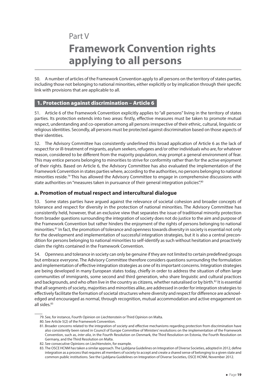## <span id="page-19-0"></span>Part V **Framework Convention rights applying to all persons**

50. A number of articles of the Framework Convention apply to all persons on the territory of states parties, including those not belonging to national minorities, either explicitly or by implication through their specific link with provisions that are applicable to all.

#### 1. Protection against discrimination – Article 6

51. Article 6 of the Framework Convention explicitly applies to "all persons" living in the territory of states parties. Its protection extends into two areas: firstly, effective measures must be taken to promote mutual respect, understanding and co-operation among all persons irrespective of their ethnic, cultural, linguistic or religious identities. Secondly, all persons must be protected against discrimination based on those aspects of their identities.

52. The Advisory Committee has consistently underlined this broad application of Article 6 as the lack of respect for or ill-treatment of migrants, asylum seekers, refugees and/or other individuals who are, for whatever reason, considered to be different from the majority population, may prompt a general environment of fear. This may entice persons belonging to minorities to strive for conformity rather than for the active enjoyment of their rights. Based on Article 6, the Advisory Committee has also evaluated the implementation of the Framework Convention in states parties where, according to the authorities, no persons belonging to national minorities reside.<sup>79</sup> This has allowed the Advisory Committee to engage in comprehensive discussions with state authorities on "measures taken in pursuance of their general integration policies".<sup>80</sup>

#### **a. Promotion of mutual respect and intercultural dialogue**

53. Some states parties have argued against the relevance of societal cohesion and broader concepts of tolerance and respect for diversity in the protection of national minorities. The Advisory Committee has consistently held, however, that an exclusive view that separates the issue of traditional minority protection from broader questions surrounding the integration of society does not do justice to the aim and purpose of the Framework Convention but rather hinders the enjoyment of the rights of persons belonging to national minorities.<sup>81</sup> In fact, the promotion of tolerance and openness towards diversity in society is essential not only for the development and implementation of successful integration strategies, but it is also a central precondition for persons belonging to national minorities to self-identify as such without hesitation and proactively claim the rights contained in the Framework Convention.

54. Openness and tolerance in society can only be genuine if they are not limited to certain predefined groups but embrace everyone. The Advisory Committee therefore considers questions surrounding the formulation and implementation of effective integration strategies as one of its important concerns. Integration strategies are being developed in many European states today, chiefly in order to address the situation of often large communities of immigrants, some second and third generation, who share linguistic and cultural practices and backgrounds, and who often live in the country as citizens, whether naturalised or by birth.<sup>82</sup> It is essential that all segments of society, majorities and minorities alike, are addressed in order for integration strategies to effectively facilitate the formation of societal structures where diversity and respect for difference are acknowledged and encouraged as normal, through recognition, mutual accommodation and active engagement on all sides.<sup>83</sup>

- 79. See, for instance, Fourth Opinion on Liechtenstein or Third Opinion on Malta.
- 80. See Article 5(2) of the Framework Convention.

<sup>81.</sup> Broader concerns related to the integration of society and effective mechanisms regarding protection from discrimination have also consistently been raised in Council of Europe Committee of Ministers' resolutions on the implementation of the Framework Convention, such as, *inter alia*, in the Fourth Resolution on Denmark, the Third Resolution on Estonia, the Fourth Resolution on Germany, and the Third Resolution on Malta.

<sup>82.</sup> See consecutive Opinions on Liechtenstein, for example.

<sup>83.</sup> The OSCE HCNM has taken a similar approach. The Ljubljana Guidelines on Integration of Diverse Societies, adopted in 2012, define integration as a process that requires all members of society to accept and create a shared sense of belonging to a given state and common public institutions. See the Ljubljana Guidelines on Integration of Diverse Societies, OSCE HCNM, November 2012.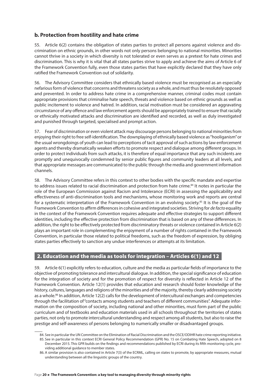#### <span id="page-20-0"></span>**b. Protection from hostility and hate crime**

55. Article 6(2) contains the obligation of states parties to protect all persons against violence and discrimination on ethnic grounds, in other words not only persons belonging to national minorities. Minorities cannot thrive in a society in which diversity is not tolerated or even serves as a pretext for hate crimes and discrimination. This is why it is vital that all states parties strive to apply and achieve the aims of Article 6 of the Framework Convention fully, even those states parties that have explicitly declared that they have only ratified the Framework Convention out of solidarity.

56. The Advisory Committee considers that ethnically based violence must be recognised as an especially nefarious form of violence that concerns and threatens society as a whole, and must thus be resolutely opposed and prevented. In order to address hate crime in a comprehensive manner, criminal codes must contain appropriate provisions that criminalise hate speech, threats and violence based on ethnic grounds as well as public incitement to violence and hatred. In addition, racial motivation must be considered an aggravating circumstance of any offence and law enforcement agents should be appropriately trained to ensure that racially or ethnically motivated attacks and discrimination are identified and recorded, as well as duly investigated and punished through targeted, specialised and prompt action.

57. Fear of discrimination or even violent attack may discourage persons belonging to national minorities from enjoying their right to free self-identification. The downplaying of ethnically based violence as "hooliganism" or the usual wrongdoings of youth can lead to perceptions of tacit approval of such actions by law enforcement agents and thereby dramatically weaken efforts to promote respect and dialogue among different groups. In order to protect individuals from such attacks, it is therefore of equal importance that any such incidents are promptly and unequivocally condemned by senior public figures and community leaders at all levels, and that appropriate messages are communicated to the public through the media and government information channels.

58. The Advisory Committee refers in this context to other bodies with the specific mandate and expertise to address issues related to racial discrimination and protection from hate crime.<sup>84</sup> It notes in particular the role of the European Commission against Racism and Intolerance (ECRI) in assessing the applicability and effectiveness of anti-discrimination tools and mechanisms, whose monitoring work and reports are central for a systematic interpretation of the Framework Convention in an evolving society.<sup>85</sup> It is the goal of the Framework Convention to affirm differences in cohesive and integrated societies. Striving for *de facto* equality in the context of the Framework Convention requires adequate and effective strategies to support different identities, including the effective protection from discrimination that is based on any of these differences. In addition, the right to be effectively protected from discriminatory threats or violence contained in Article 6(2) plays an important role in complementing the enjoyment of a number of rights contained in the Framework Convention, in particular those related to political freedoms, such as the freedom of expression, by obliging states parties effectively to sanction any undue interferences or attempts at its limitation.

#### 2. Education and the media as tools for integration – Articles 6(1) and 12

59. Article 6(1) explicitly refers to education, culture and the media as particular fields of importance to the objective of promoting tolerance and intercultural dialogue. In addition, the special significance of education for the integration of society and for the promotion of respect for diversity is reflected in Article 12 of the Framework Convention. Article 12(1) provides that education and research should foster knowledge of the history, cultures, languages and religions of the minorities and of the majority, thereby clearly addressing society as a whole.<sup>86</sup> In addition, Article 12(2) calls for the development of intercultural exchanges and competencies through the facilitation of "contacts among students and teachers of different communities". Adequate information on the composition of society, including national and other minorities, must form part of the public curriculum and of textbooks and education materials used in all schools throughout the territories of states parties, not only to promote intercultural understanding and respect among all students, but also to raise the prestige and self-awareness of persons belonging to numerically smaller or disadvantaged groups.

<sup>84.</sup> See in particular the UN Committee on the Elimination of Racial Discrimination and the OSCE/ODIHR hate crime reporting initiative.

<sup>85.</sup> See in particular in this context ECRI General Policy Recommendation (GPR) No. 15 on Combating Hate Speech, adopted on 8 December 2015. This GPR builds on the findings and recommendations published by ECRI during its fifth monitoring cycle, providing additional guidance to member states.

<sup>86.</sup> A similar provision is also contained in Article 7(3) of the ECRML, calling on states to promote, by appropriate measures, mutual understanding between all the linguistic groups of the country.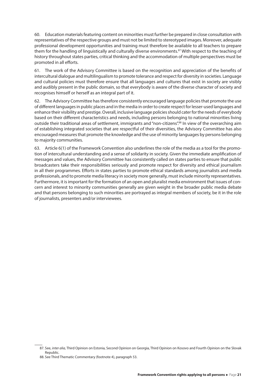60. Education materials featuring content on minorities must further be prepared in close consultation with representatives of the respective groups and must not be limited to stereotyped images. Moreover, adequate professional development opportunities and training must therefore be available to all teachers to prepare them for the handling of linguistically and culturally diverse environments.<sup>87</sup> With respect to the teaching of history throughout states parties, critical thinking and the accommodation of multiple perspectives must be promoted in all efforts.

61. The work of the Advisory Committee is based on the recognition and appreciation of the benefits of intercultural dialogue and multilingualism to promote tolerance and respect for diversity in societies. Language and cultural policies must therefore ensure that all languages and cultures that exist in society are visibly and audibly present in the public domain, so that everybody is aware of the diverse character of society and recognises himself or herself as an integral part of it.

62. The Advisory Committee has therefore consistently encouraged language policies that promote the use of different languages in public places and in the media in order to create respect for lesser-used languages and enhance their visibility and prestige. Overall, inclusive language policies should cater for the needs of everybody based on their different characteristics and needs, including persons belonging to national minorities living outside their traditional areas of settlement, immigrants and "non-citizens".<sup>88</sup> In view of the overarching aim of establishing integrated societies that are respectful of their diversities, the Advisory Committee has also encouraged measures that promote the knowledge and the use of minority languages by persons belonging to majority communities.

63. Article 6(1) of the Framework Convention also underlines the role of the media as a tool for the promotion of intercultural understanding and a sense of solidarity in society. Given the immediate amplification of messages and values, the Advisory Committee has consistently called on states parties to ensure that public broadcasters take their responsibilities seriously and promote respect for diversity and ethical journalism in all their programmes. Efforts in states parties to promote ethical standards among journalists and media professionals, and to promote media literacy in society more generally, must include minority representatives. Furthermore, it is important for the formation of an open and pluralist media environment that issues of concern and interest to minority communities generally are given weight in the broader public media debate and that persons belonging to such minorities are portrayed as integral members of society, be it in the role of journalists, presenters and/or interviewees.

<sup>87.</sup> See, *inter alia,* Third Opinion on Estonia, Second Opinion on Georgia, Third Opinion on Kosovo and Fourth Opinion on the Slovak Republic.

<sup>88.</sup> See Third Thematic Commentary (footnote 4), paragraph 53.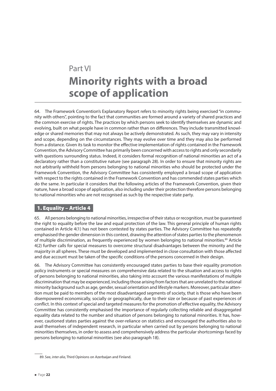## <span id="page-22-0"></span>Part VI **Minority rights with a broad scope of application**

64. The Framework Convention's Explanatory Report refers to minority rights being exercised "in community with others", pointing to the fact that communities are formed around a variety of shared practices and the common exercise of rights. The practices by which persons seek to identify themselves are dynamic and evolving, built on what people have in common rather than on differences. They include transmitted knowledge or shared memories that may not always be actively demonstrated. As such, they may vary in intensity and scope, depending on the circumstances. They may evolve over time and they may also be performed from a distance. Given its task to monitor the effective implementation of rights contained in the Framework Convention, the Advisory Committee has primarily been concerned with access to rights and only secondarily with questions surrounding status. Indeed, it considers formal recognition of national minorities an act of a declaratory rather than a constitutive nature (see paragraph 28). In order to ensure that minority rights are not arbitrarily withheld from persons belonging to national minorities who should be protected under the Framework Convention, the Advisory Committee has consistently employed a broad scope of application with respect to the rights contained in the Framework Convention and has commended states parties which do the same. In particular it considers that the following articles of the Framework Convention, given their nature, have a broad scope of application, also including under their protection therefore persons belonging to national minorities who are not recognised as such by the respective state party.

#### 1. Equality – Article 4

65. All persons belonging to national minorities, irrespective of their status or recognition, must be guaranteed the right to equality before the law and equal protection of the law. This general principle of human rights contained in Article 4(1) has not been contested by states parties. The Advisory Committee has repeatedly emphasised the gender dimension in this context, drawing the attention of states parties to the phenomenon of multiple discrimination, as frequently experienced by women belonging to national minorities.<sup>89</sup> Article 4(2) further calls for special measures to overcome structural disadvantages between the minority and the majority in all spheres. These must be developed and implemented in close consultation with those affected and due account must be taken of the specific conditions of the persons concerned in their design.

66. The Advisory Committee has consistently encouraged states parties to base their equality promotion policy instruments or special measures on comprehensive data related to the situation and access to rights of persons belonging to national minorities, also taking into account the various manifestations of multiple discrimination that may be experienced, including those arising from factors that are unrelated to the national minority background such as age, gender, sexual orientation and lifestyle markers. Moreover, particular attention must be paid to members of the most disadvantaged segments of society, that is those who have been disempowered economically, socially or geographically, due to their size or because of past experiences of conflict. In this context of special and targeted measures for the promotion of effective equality, the Advisory Committee has consistently emphasised the importance of regularly collecting reliable and disaggregated equality data related to the number and situation of persons belonging to national minorities. It has, however, cautioned states parties against the over-reliance on statistics and encouraged the authorities also to avail themselves of independent research, in particular when carried out by persons belonging to national minorities themselves, in order to assess and comprehensively address the particular shortcomings faced by persons belonging to national minorities (see also paragraph 18).

<sup>89.</sup> See, *inter alia*, Third Opinions on Azerbaijan and Finland.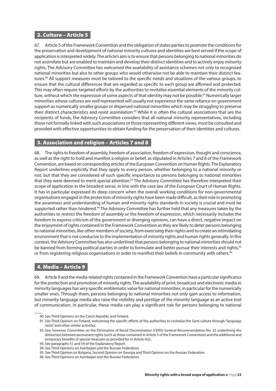#### <span id="page-23-0"></span>2. Culture – Article 5

67. Article 5 of the Framework Convention and the obligation of states parties to promote the conditions for the preservation and development of national minority cultures and identities are best served if the scope of application is interpreted widely. The article's aim is to ensure that persons belonging to national minorities do not assimilate but are enabled to maintain and develop their distinct identities and to actively enjoy minority rights. The Advisory Committee has welcomed the availability of assistance schemes not only to recognised national minorities but also to other groups who would otherwise not be able to maintain their distinct features.<sup>90</sup> All support measures must be tailored to the specific needs and situations of the various groups, to ensure that the cultural differences that are regarded as specific to each group are affirmed and protected. This may often require targeted efforts by the authorities to revitalise essential elements of the minority culture, without which the expression of some aspects of that identity may not be possible.<sup>91</sup> Numerically larger minorities whose cultures are well represented will usually not experience the same reliance on government support as numerically smaller groups or dispersed national minorities which may be struggling to preserve their distinct characteristics and resist assimilation.<sup>92</sup> While it is often the cultural associations that are the recipients of funds, the Advisory Committee considers that all national minority representatives, including those not formally linked with such associations or those representing different views, must be consulted and provided with effective opportunities to obtain funding for the preservation of their identities and cultures.

#### 3. Association and religion – Articles 7 and 8

68. The rights to freedom of assembly, freedom of association, freedom of expression, thought and conscience, as well as the right to hold and manifest a religion or belief, as stipulated in Articles 7 and 8 of the Framework Convention, are based on corresponding articles of the European Convention on Human Rights. The Explanatory Report underlines explicitly that they apply to every person, whether belonging to a national minority or not, but that they are considered of such specific importance to persons belonging to national minorities that they were deemed to merit special attention.<sup>93</sup> The Advisory Committee has therefore interpreted their scope of application in the broadest sense, in line with the case law of the European Court of Human Rights. It has in particular expressed its deep concern when the overall working conditions for non-governmental organisations engaged in the protection of minority rights have been made difficult, as their role in promoting the awareness and understanding of human and minority rights standards in society is crucial and must be supported rather than hindered.<sup>94</sup> The Advisory Committee has further held that any measures taken by the authorities to restrict the freedom of assembly or the freedom of expression, which necessarily includes the freedom to express criticism of the government or diverging opinions, can have a direct, negative impact on the enjoyment of rights contained in the Framework Convention as they are likely to deter persons belonging to national minorities, like other members of society, from exercising their rights and to create an intimidating environment that is not conducive to the implementation of minority rights and human rights generally. In this context, the Advisory Committee has also underlined that persons belonging to national minorities should not be banned from forming political parties in order to formulate and better pursue their interests and rights,<sup>95</sup> or from registering religious organisations in order to manifest their beliefs in community with others.<sup>96</sup>

#### 4. Media – Article 9

69. Article 9 and the media-related rights contained in the Framework Convention have a particular significance for the protection and promotion of minority rights. The availability of print, broadcast and electronic media in minority languages has very specific emblematic value for national minorities, in particular for the numerically smaller ones. Through them, persons belonging to national minorities not only gain access to information, but minority-language media also raise the visibility and prestige of the minority language as an active tool of communication. In particular, these media can play a significant role for persons belonging to national

<sup>90.</sup> See Third Opinions on the Czech Republic and Finland.

<sup>91.</sup> See Third Opinion on Finland, welcoming the specific efforts of the authorities to revitalise the Sami culture through "language nests" and other similar activities.

<sup>92.</sup> See, however, Committee on the Elimination of Racial Discrimination (CERD) General Recommendation No. 32 underlining the distinction between permanent rights (such as those contained in Article 5 of the Framework Convention) and the additional and temporary benefits of special measures as provided for in Article 4(2).

<sup>93.</sup> See paragraphs 51 and 54 of the Explanatory Report.

<sup>94.</sup> See Third Opinions on Azerbaijan and the Russian Federation.

<sup>95.</sup> See Third Opinion on Bulgaria, Second Opinion on Georgia and Third Opinion on the Russian Federation.

<sup>96.</sup> See Third Opinions on Azerbaijan and the Russian Federation.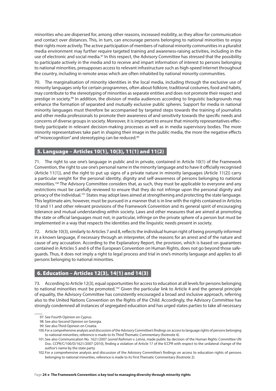<span id="page-24-0"></span>minorities who are dispersed for, among other reasons, increased mobility, as they allow for communication and contact over distances. This, in turn, can encourage persons belonging to national minorities to enjoy their rights more actively. The active participation of members of national minority communities in a pluralist media environment may further require targeted training and awareness-raising activities, including in the use of electronic and social media.<sup>97</sup> In this respect, the Advisory Committee has stressed that the possibility to participate actively in the media and to receive and impart information of interest to persons belonging to national minorities, presupposes access to relevant infrastructure such as high-speed Internet throughout the country, including in remote areas which are often inhabited by national minority communities.

70. The marginalisation of minority identities in the local media, including through the exclusive use of minority languages only for certain programmes, often about folklore, traditional costumes, food and habits, may contribute to the stereotyping of minorities as separate entities and does not promote their respect and prestige in society.<sup>98</sup> In addition, the division of media audiences according to linguistic backgrounds may enhance the formation of separated and mutually exclusive public spheres. Support for media in national minority languages must therefore be accompanied by targeted steps towards the training of journalists and other media professionals to promote their awareness of and sensitivity towards the specific needs and concerns of diverse groups in society. Moreover, it is important to ensure that minority representatives effectively participate in relevant decision-making processes as well as in media supervisory bodies. The more minority representatives take part in shaping their image in the public media, the more the negative effects of "misrecognition" and stereotyping can be reduced.<sup>99</sup>

#### 5. Language – Articles 10(1), 10(3), 11(1) and 11(2)

71. The right to use one's language in public and in private, contained in Article 10(1) of the Framework Convention, the right to use one's personal name in the minority language and to have it officially recognised (Article 11(1)), and the right to put up signs of a private nature in minority languages (Article 11(2)) carry a particular weight for the personal identity, dignity and self-awareness of persons belonging to national minorities.<sup>100</sup> The Advisory Committee considers that, as such, they must be applicable to everyone and any restrictions must be carefully reviewed to ensure that they do not infringe upon the personal dignity and privacy of the individual.<sup>101</sup> States may adopt laws aimed at strengthening and protecting the state language. This legitimate aim, however, must be pursued in a manner that is in line with the rights contained in Articles 10 and 11 and other relevant provisions of the Framework Convention and its general spirit of encouraging tolerance and mutual understanding within society. Laws and other measures that are aimed at promoting the state or official languages must not, in particular, infringe on the private sphere of a person but must be implemented in a way that respects the identities and the linguistic needs present in society.

72. Article 10(3), similarly to Articles 7 and 8, reflects the individual human right of being promptly informed in a known language, if necessary through an interpreter, of the reasons for an arrest and of the nature and cause of any accusation. According to the Explanatory Report, the provision, which is based on guarantees contained in Articles 5 and 6 of the European Convention on Human Rights, does not go beyond those safeguards. Thus, it does not imply a right to legal process and trial in one's minority language and applies to all persons belonging to national minorities.

#### 6. Education – Articles 12(3), 14(1) and 14(3)

73. According to Article 12(3), equal opportunities for access to education at all levels for persons belonging to national minorities must be promoted.<sup>102</sup> Given the particular link to Article 4 and the general principle of equality, the Advisory Committee has consistently encouraged a broad and inclusive approach, referring also to the United Nations Convention on the Rights of the Child. Accordingly, the Advisory Committee has strongly condemned all instances of segregated education and has urged states parties to take all necessary

<sup>97.</sup> See Fourth Opinion on Cyprus.

<sup>98.</sup> See also Second Opinion on Georgia.

<sup>99.</sup> See also Third Opinion on Croatia.

<sup>100.</sup>For a comprehensive analysis and discussion of the Advisory Committee's findings on access to language rights of persons belonging to national minorities, reference is made to its Third Thematic Commentary (footnote 4).

<sup>101.</sup>See also Communication No. 1621/2007 *Leonid Raihman v. Latvia*, made public by decision of the Human Rights Committee UN Doc. CCPR/C/100/D/1621/2007 (2010), finding a violation of Article 17 of the ICCPR with respect to the unilateral change of the author's name by the state party.

<sup>102.</sup>For a comprehensive analysis and discussion of the Advisory Committee's findings on access to education rights of persons belonging to national minorities, reference is made to its First Thematic Commentary (footnote 2).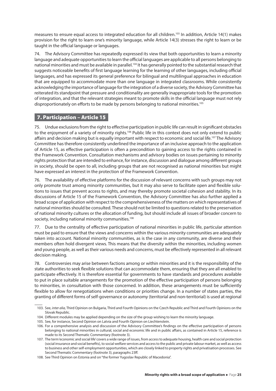<span id="page-25-0"></span>measures to ensure equal access to integrated education for all children.<sup>103</sup> In addition, Article 14(1) makes provision for the right to learn one's minority language, while Article 14(3) stresses the right to learn or be taught in the official language or languages.

74. The Advisory Committee has repeatedly expressed its view that both opportunities to learn a minority language and adequate opportunities to learn the official languages are applicable to all persons belonging to national minorities and must be available in parallel.<sup>104</sup> It has generally pointed to the substantial research that suggests noticeable benefits of first language learning for the learning of other languages, including official languages, and has expressed its general preference for bilingual and multilingual approaches in education that are equipped to accommodate more than one language in integrated classrooms. While consistently acknowledging the importance of language for the integration of a diverse society, the Advisory Committee has reiterated its standpoint that pressure and conditionality are generally inappropriate tools for the promotion of integration, and that the relevant strategies meant to promote skills in the official language must not rely disproportionately on efforts to be made by persons belonging to national minorities.<sup>105</sup>

#### 7. Participation – Article 15

75. Undue exclusions from the right to effective participation in public life can result in significant obstacles to the enjoyment of a variety of minority rights.<sup>106</sup> Public life in this context does not only extend to public affairs and decision making but is equally important with respect to economic and social life.<sup>107</sup> The Advisory Committee has therefore consistently underlined the importance of an inclusive approach to the application of Article 15, as effective participation is often a precondition to gaining access to the rights contained in the Framework Convention. Consultation mechanisms and advisory bodies on issues pertaining to minority rights protection that are intended to enhance, for instance, discussion and dialogue among different groups in society, should be open to all, including groups that are not recognised as national minorities but might have expressed an interest in the protection of the Framework Convention.

76. The availability of effective platforms for the discussion of relevant concerns with such groups may not only promote trust among minority communities, but it may also serve to facilitate open and flexible solutions to issues that prevent access to rights, and may thereby promote societal cohesion and stability. In its discussions of Article 15 of the Framework Convention, the Advisory Committee has also further applied a broad scope of application with respect to the comprehensiveness of the matters on which representatives of national minorities should be consulted. These should not be limited to questions related to the preservation of national minority cultures or the allocation of funding, but should include all issues of broader concern to society, including national minority communities.<sup>108</sup>

77. Due to the centrality of effective participation of national minorities in public life, particular attention must be paid to ensure that the views and concerns within the various minority communities are adequately taken into account. National minority communities, as is the case in any community, are diverse and their members often hold divergent views. This means that the diversity within the minorities, including women and young people, as well as their various needs and concerns, must be effectively represented in all relevant decision making.

78. Controversies may arise between factions among or within minorities and it is the responsibility of the state authorities to seek flexible solutions that can accommodate them, ensuring that they are all enabled to participate effectively. It is therefore essential for governments to have standards and procedures available to put in place suitable arrangements for the promotion of the effective participation of persons belonging to minorities, in consultation with those concerned. In addition, these arrangements must be sufficiently flexible to allow for renegotiations when conditions or priorities change. In a number of states parties, the granting of different forms of self-governance or autonomy (territorial and non-territorial) is used at regional

<sup>103.</sup> See, *inter alia,* Third Opinion on Bulgaria, Third and Fourth Opinions on the Czech Republic and Third and Fourth Opinions on the Slovak Republic.

<sup>104.</sup> Different modules may be applied depending on the size of the group wishing to learn the minority language.

<sup>105.</sup> See, for instance, Second Opinion on Latvia and Fourth Opinion on Liechtenstein.

<sup>106.</sup> For a comprehensive analysis and discussion of the Advisory Committee's findings on the effective participation of persons belonging to national minorities in cultural, social and economic life and in public affairs, as contained in Article 15, reference is made to its Second Thematic Commentary (footnote 3).

<sup>107.</sup> The term 'economic and social life' covers a wide range of issues, from access to adequate housing, health care and social protection (social insurance and social benefits), to social welfare services and access to the public and private labour market, as well as access to business and other self-employment opportunities, which are closely linked to property rights and privatisation processes. See Second Thematic Commentary (footnote 3), paragraphs 23ff.

<sup>108.</sup> See Third Opinion on Estonia and on "the former Yugoslav Republic of Macedonia".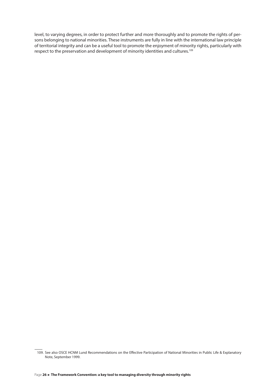level, to varying degrees, in order to protect further and more thoroughly and to promote the rights of persons belonging to national minorities. These instruments are fully in line with the international law principle of territorial integrity and can be a useful tool to promote the enjoyment of minority rights, particularly with respect to the preservation and development of minority identities and cultures.<sup>109</sup>

<sup>109.</sup> See also OSCE HCNM Lund Recommendations on the Effective Participation of National Minorities in Public Life & Explanatory Note, September 1999.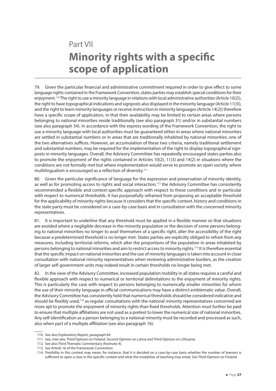## <span id="page-27-0"></span>Part VII **Minority rights with a specific scope of application**

79. Given the particular financial and administrative commitment required in order to give effect to some language rights contained in the Framework Convention, states parties may establish special conditions for their enjoyment.<sup>110</sup> The right to use a minority language in relations with local administrative authorities (Article 10(2)), the right to have topographical indications and signposts also displayed in the minority language (Article 11(3)), and the right to learn minority languages or receive instruction in minority languages (Article 14(2)) therefore have a specific scope of application, in that their availability may be limited to certain areas where persons belonging to national minorities reside traditionally (see also paragraph 31) and/or in substantial numbers (see also paragraph 34). In accordance with the express wording of the Framework Convention, the right to use a minority language with local authorities must be guaranteed either in areas where national minorities are settled in substantial numbers or in areas that are traditionally inhabited by national minorities; one of the two alternatives suffices. However, an accumulation of these two criteria, namely traditional settlement and substantial numbers, may be required for the implementation of the right to display topographical signposts in minority languages. Overall, the Advisory Committee has repeatedly encouraged states parties also to promote the enjoyment of the rights contained in Articles 10(2), 11(3) and 14(2) in situations where the conditions are not formally met but where implementation would serve to promote an open society, where multilingualism is encouraged as a reflection of diversity.<sup>111</sup>

80. Given the particular significance of language for the expression and preservation of minority identity, as well as for promoting access to rights and social interaction,<sup>112</sup> the Advisory Committee has consistently recommended a flexible and context-specific approach with respect to these conditions and in particular with respect to numerical thresholds. It has purposefully refrained from proposing an acceptable threshold for the applicability of minority rights because it considers that the specific context, history and conditions in the state party must be considered on a case-by-case basis and in consultation with the concerned minority representatives.

81. It is important to underline that any threshold must be applied in a flexible manner so that situations are avoided where a negligible decrease in the minority population or the decision of some persons belonging to national minorities no longer to avail themselves of a specific right, alter the accessibility of the right because a predetermined threshold is no longer met. States parties are explicitly obliged to refrain from any measures, including territorial reforms, which alter the proportions of the population in areas inhabited by persons belonging to national minorities and aim to restrict access to minority rights.<sup>113</sup> It is therefore essential that the specific impact on national minorities and the use of minority languages is taken into account in close consultation with national minority representatives when reviewing administrative borders, as the creation of larger self-government units may indeed result in certain thresholds no longer being met.

82. In the view of the Advisory Committee, increased population mobility in all states requires a careful and flexible approach with respect to numerical or territorial delimitations to the enjoyment of minority rights. This is particularly the case with respect to persons belonging to numerically smaller minorities for whom the use of their minority language in official communications may have a distinct emblematic value. Overall, the Advisory Committee has consistently held that numerical thresholds should be considered indicative and should be flexibly used,<sup>114</sup> as regular consultations with the national minority representatives concerned are more apt to promote the enjoyment of minority rights than fixed thresholds. Attention must further be paid to ensure that multiple affiliations are not used as a pretext to lower the numerical size of national minorities. Any self-identification as a person belonging to a national minority must be recorded and processed as such, also when part of a multiple affiliation (see also paragraph 16).

113. See Article 16 of the Framework Convention.

<sup>110.</sup> See also Explanatory Report, paragraph 64.

<sup>111.</sup> See, *inter alia,* Third Opinion on Finland, Second Opinion on Latvia and Third Opinion on Lithuania.

<sup>112.</sup> See also Third Thematic Commentary (footnote 4).

<sup>114.</sup> Flexibility in this context may mean, for instance, that it is decided on a case-by-case basis whether the number of learners is sufficient to open a class in the specific context and what the modalities of teaching may entail. See Third Opinion on Finland.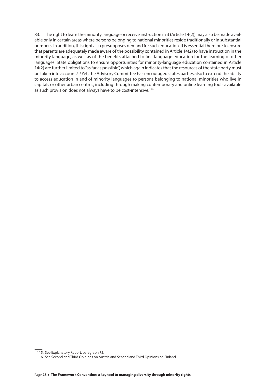83. The right to learn the minority language or receive instruction in it (Article 14(2)) may also be made available only in certain areas where persons belonging to national minorities reside traditionally orin substantial numbers. In addition, this right also presupposes demand for such education. It is essential therefore to ensure that parents are adequately made aware of the possibility contained in Article 14(2) to have instruction in the minority language, as well as of the benefits attached to first language education for the learning of other languages. State obligations to ensure opportunities for minority-language education contained in Article 14(2) are further limited to "as far as possible", which again indicates that the resources of the state party must be taken into account.<sup>115</sup> Yet, the Advisory Committee has encouraged states parties also to extend the ability to access education in and of minority languages to persons belonging to national minorities who live in capitals or other urban centres, including through making contemporary and online learning tools available as such provision does not always have to be cost-intensive.<sup>116</sup>

<sup>115.</sup> See Explanatory Report, paragraph 75.

<sup>116.</sup> See Second and Third Opinions on Austria and Second and Third Opinions on Finland.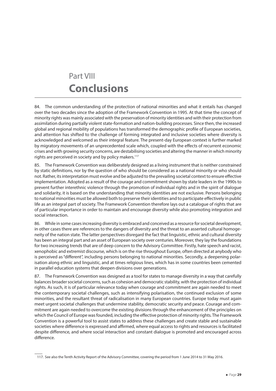## <span id="page-29-0"></span>Part VIII **Conclusions**

84. The common understanding of the protection of national minorities and what it entails has changed over the two decades since the adoption of the Framework Convention in 1995. At that time the concept of minority rights was mainly associated with the preservation of minority identities and with their protection from assimilation during partially violent state-formation and nation-building processes. Since then, the increased global and regional mobility of populations has transformed the demographic profile of European societies, and attention has shifted to the challenge of forming integrated and inclusive societies where diversity is acknowledged and welcomed as their integral feature. The present-day European context is further marked by migratory movements of an unprecedented scale which, coupled with the effects of recurrent economic crises and with growing security concerns, are destabilising societies and altering the manner in which minority rights are perceived in society and by policy makers.<sup>117</sup>

85. The Framework Convention was deliberately designed as a living instrument that is neither constrained by static definitions, nor by the question of who should be considered as a national minority or who should not. Rather, its interpretation must evolve and be adjusted to the prevailing societal context to ensure effective implementation. Adopted as a result of the courage and commitment shown by state leaders in the 1990s to prevent further interethnic violence through the promotion of individual rights and in the spirit of dialogue and solidarity, it is based on the understanding that minority identities are not exclusive. Persons belonging to national minorities must be allowed both to preserve their identities and to participate effectively in public life as an integral part of society. The Framework Convention therefore lays out a catalogue of rights that are of particular importance in order to maintain and encourage diversity while also promoting integration and social interaction.

86. While in some cases increasing diversity is embraced and conceived as a resource for societal development, in other cases there are references to the dangers of diversity and the threat to an asserted cultural homogeneity of the nation state. The latter perspectives disregard the fact that linguistic, ethnic and cultural diversity has been an integral part and an asset of European society over centuries. Moreover, they lay the foundations for two increasing trends that are of deep concern to the Advisory Committee. Firstly, hate speech and racist, xenophobic and extremist discourse, which is on the rise throughout Europe, often directed at anybody who is perceived as "different", including persons belonging to national minorities. Secondly, a deepening polarisation along ethnic and linguistic, and at times religious lines, which has in some countries been cemented in parallel education systems that deepen divisions over generations.

87. The Framework Convention was designed as a tool for states to manage diversity in a way that carefully balances broader societal concerns, such as cohesion and democratic stability, with the protection of individual rights. As such, it is of particular relevance today when courage and commitment are again needed to meet the contemporary societal challenges, such as intensifying polarisation, the continued exclusion of some minorities, and the resultant threat of radicalisation in many European countries. Europe today must again meet urgent societal challenges that undermine stability, democratic security and peace. Courage and commitment are again needed to overcome the existing divisions through the enhancement of the principles on which the Council of Europe was founded, including the effective protection of minority rights. The Framework Convention is a powerful tool to assist states to address these challenges and create stable and sustainable societies where difference is expressed and affirmed, where equal access to rights and resources is facilitated despite difference, and where social interaction and constant dialogue is promoted and encouraged across difference.

<sup>117.</sup> See also the Tenth Activity Report of the Advisory Committee, covering the period from 1 June 2014 to 31 May 2016.